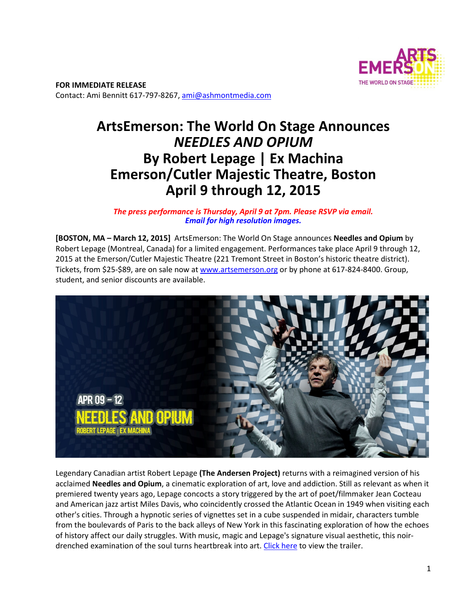

**FOR IMMEDIATE RELEASE**  Contact: Ami Bennitt 617‐797‐8267, ami@ashmontmedia.com

# **ArtsEmerson: The World On Stage Announces**  *NEEDLES AND OPIUM* **By Robert Lepage | Ex Machina Emerson/Cutler Majestic Theatre, Boston April 9 through 12, 2015**

*The press performance is Thursday, April 9 at 7pm. Please RSVP via email. Email for high resolution images.* 

**[BOSTON, MA – March 12, 2015]** ArtsEmerson: The World On Stage announces **Needles and Opium** by Robert Lepage (Montreal, Canada) for a limited engagement. Performances take place April 9 through 12, 2015 at the Emerson/Cutler Majestic Theatre (221 Tremont Street in Boston's historic theatre district). Tickets, from \$25-\$89, are on sale now at www.artsemerson.org or by phone at 617-824-8400. Group, student, and senior discounts are available.



Legendary Canadian artist Robert Lepage **(The Andersen Project)** returns with a reimagined version of his acclaimed **Needles and Opium**, a cinematic exploration of art, love and addiction. Still as relevant as when it premiered twenty years ago, Lepage concocts a story triggered by the art of poet/filmmaker Jean Cocteau and American jazz artist Miles Davis, who coincidently crossed the Atlantic Ocean in 1949 when visiting each other's cities. Through a hypnotic series of vignettes set in a cube suspended in midair, characters tumble from the boulevards of Paris to the back alleys of New York in this fascinating exploration of how the echoes of history affect our daily struggles. With music, magic and Lepage's signature visual aesthetic, this noir‐ drenched examination of the soul turns heartbreak into art. Click here to view the trailer.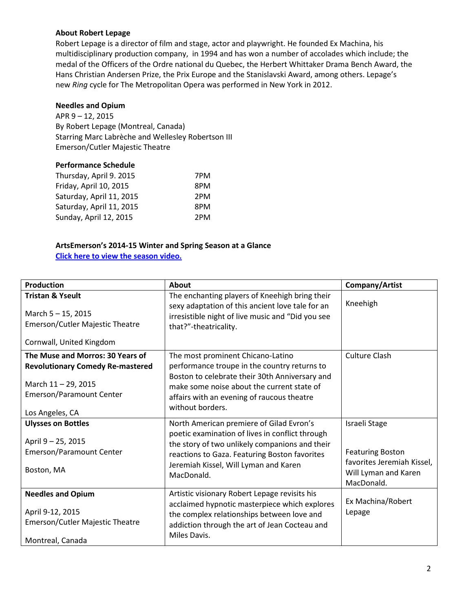### **About Robert Lepage**

Robert Lepage is a director of film and stage, actor and playwright. He founded Ex Machina, his multidisciplinary production company, in 1994 and has won a number of accolades which include; the medal of the Officers of the Ordre national du Quebec, the Herbert Whittaker Drama Bench Award, the Hans Christian Andersen Prize, the Prix Europe and the Stanislavski Award, among others. Lepage's new *Ring* cycle for The Metropolitan Opera was performed in New York in 2012.

## **Needles and Opium**

APR 9 – 12, 2015 By Robert Lepage (Montreal, Canada) Starring Marc Labrèche and Wellesley Robertson III Emerson/Cutler Majestic Theatre

#### **Performance Schedule**

| Thursday, April 9. 2015  | 7PM |
|--------------------------|-----|
| Friday, April 10, 2015   | 8PM |
| Saturday, April 11, 2015 | 2PM |
| Saturday, April 11, 2015 | 8PM |
| Sunday, April 12, 2015   | 2PM |

#### **ArtsEmerson's 2014-15 Winter and Spring Season at a Glance Click here to view the season video.**

| <b>Production</b>                                                                                                                               | About                                                                                                                                                                                                                                                 | Company/Artist                                                                                               |
|-------------------------------------------------------------------------------------------------------------------------------------------------|-------------------------------------------------------------------------------------------------------------------------------------------------------------------------------------------------------------------------------------------------------|--------------------------------------------------------------------------------------------------------------|
| <b>Tristan &amp; Yseult</b><br>March 5 - 15, 2015<br>Emerson/Cutler Majestic Theatre                                                            | The enchanting players of Kneehigh bring their<br>sexy adaptation of this ancient love tale for an<br>irresistible night of live music and "Did you see<br>that?"-theatricality.                                                                      | Kneehigh                                                                                                     |
| Cornwall, United Kingdom                                                                                                                        |                                                                                                                                                                                                                                                       |                                                                                                              |
| The Muse and Morros: 30 Years of<br><b>Revolutionary Comedy Re-mastered</b><br>March 11-29, 2015<br>Emerson/Paramount Center<br>Los Angeles, CA | The most prominent Chicano-Latino<br>performance troupe in the country returns to<br>Boston to celebrate their 30th Anniversary and<br>make some noise about the current state of<br>affairs with an evening of raucous theatre<br>without borders.   | <b>Culture Clash</b>                                                                                         |
| <b>Ulysses on Bottles</b><br>April 9 - 25, 2015<br>Emerson/Paramount Center<br>Boston, MA                                                       | North American premiere of Gilad Evron's<br>poetic examination of lives in conflict through<br>the story of two unlikely companions and their<br>reactions to Gaza. Featuring Boston favorites<br>Jeremiah Kissel, Will Lyman and Karen<br>MacDonald. | Israeli Stage<br><b>Featuring Boston</b><br>favorites Jeremiah Kissel,<br>Will Lyman and Karen<br>MacDonald. |
| <b>Needles and Opium</b><br>April 9-12, 2015<br>Emerson/Cutler Majestic Theatre<br>Montreal, Canada                                             | Artistic visionary Robert Lepage revisits his<br>acclaimed hypnotic masterpiece which explores<br>the complex relationships between love and<br>addiction through the art of Jean Cocteau and<br>Miles Davis.                                         | Ex Machina/Robert<br>Lepage                                                                                  |